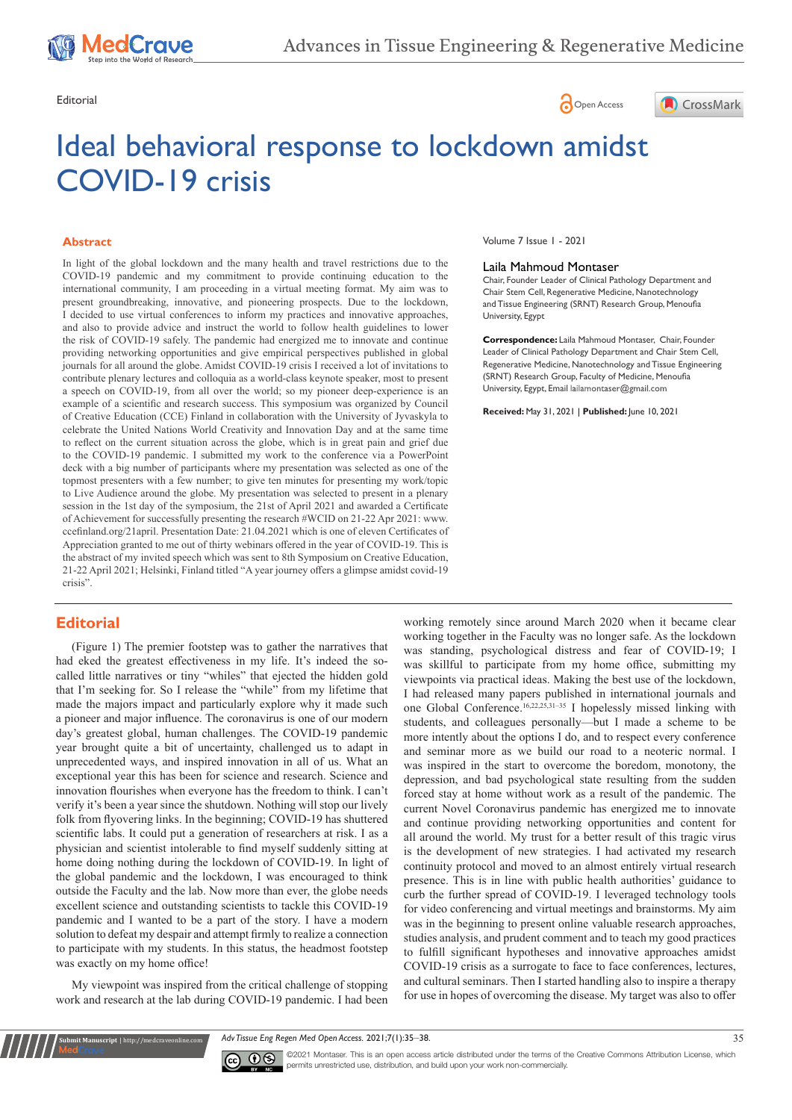





# Ideal behavioral response to lockdown amidst COVID-19 crisis

#### **Abstract**

In light of the global lockdown and the many health and travel restrictions due to the COVID-19 pandemic and my commitment to provide continuing education to the international community, I am proceeding in a virtual meeting format. My aim was to present groundbreaking, innovative, and pioneering prospects. Due to the lockdown, I decided to use virtual conferences to inform my practices and innovative approaches, and also to provide advice and instruct the world to follow health guidelines to lower the risk of COVID-19 safely. The pandemic had energized me to innovate and continue providing networking opportunities and give empirical perspectives published in global journals for all around the globe. Amidst COVID-19 crisis I received a lot of invitations to contribute plenary lectures and colloquia as a world-class keynote speaker, most to present a speech on COVID-19, from all over the world; so my pioneer deep-experience is an example of a scientific and research success. This symposium was organized by Council of Creative Education (CCE) Finland in collaboration with the University of Jyvaskyla to celebrate the United Nations World Creativity and Innovation Day and at the same time to reflect on the current situation across the globe, which is in great pain and grief due to the COVID-19 pandemic. I submitted my work to the conference via a PowerPoint deck with a big number of participants where my presentation was selected as one of the topmost presenters with a few number; to give ten minutes for presenting my work/topic to Live Audience around the globe. My presentation was selected to present in a plenary session in the 1st day of the symposium, the 21st of April 2021 and awarded a Certificate of Achievement for successfully presenting the research #WCID on 21-22 Apr 2021: www. ccefinland.org/21april. Presentation Date: 21.04.2021 which is one of eleven Certificates of Appreciation granted to me out of thirty webinars offered in the year of COVID-19. This is the abstract of my invited speech which was sent to 8th Symposium on Creative Education, 21-22 April 2021; Helsinki, Finland titled "A year journey offers a glimpse amidst covid-19 crisis".

# **Editorial**

(Figure 1) The premier footstep was to gather the narratives that had eked the greatest effectiveness in my life. It's indeed the socalled little narratives or tiny "whiles" that ejected the hidden gold that I'm seeking for. So I release the "while" from my lifetime that made the majors impact and particularly explore why it made such a pioneer and major influence. The coronavirus is one of our modern day's greatest global, human challenges. The COVID-19 pandemic year brought quite a bit of uncertainty, challenged us to adapt in unprecedented ways, and inspired innovation in all of us. What an exceptional year this has been for science and research. Science and innovation flourishes when everyone has the freedom to think. I can't verify it's been a year since the shutdown. Nothing will stop our lively folk from flyovering links. In the beginning; COVID-19 has shuttered scientific labs. It could put a generation of researchers at risk. I as a physician and scientist intolerable to find myself suddenly sitting at home doing nothing during the lockdown of COVID-19. In light of the global pandemic and the lockdown, I was encouraged to think outside the Faculty and the lab. Now more than ever, the globe needs excellent science and outstanding scientists to tackle this COVID-19 pandemic and I wanted to be a part of the story. I have a modern solution to defeat my despair and attempt firmly to realize a connection to participate with my students. In this status, the headmost footstep was exactly on my home office!

My viewpoint was inspired from the critical challenge of stopping work and research at the lab during COVID-19 pandemic. I had been

**it Manuscript** | http://medcraveonline.c

Volume 7 Issue 1 - 2021

#### Laila Mahmoud Montaser

Chair, Founder Leader of Clinical Pathology Department and Chair Stem Cell, Regenerative Medicine, Nanotechnology and Tissue Engineering (SRNT) Research Group, Menoufia University, Egypt

**Correspondence:** Laila Mahmoud Montaser, Chair, Founder Leader of Clinical Pathology Department and Chair Stem Cell, Regenerative Medicine, Nanotechnology and Tissue Engineering (SRNT) Research Group, Faculty of Medicine, Menoufia University, Egypt, Email lailamontaser@gmail.com

**Received:** May 31, 2021 | **Published:** June 10, 2021

working remotely since around March 2020 when it became clear working together in the Faculty was no longer safe. As the lockdown was standing, psychological distress and fear of COVID-19; I was skillful to participate from my home office, submitting my viewpoints via practical ideas. Making the best use of the lockdown, I had released many papers published in international journals and one Global Conference.16,22,25,31–35 I hopelessly missed linking with students, and colleagues personally—but I made a scheme to be more intently about the options I do, and to respect every conference and seminar more as we build our road to a neoteric normal. I was inspired in the start to overcome the boredom, monotony, the depression, and bad psychological state resulting from the sudden forced stay at home without work as a result of the pandemic. The current Novel Coronavirus pandemic has energized me to innovate and continue providing networking opportunities and content for all around the world. My trust for a better result of this tragic virus is the development of new strategies. I had activated my research continuity protocol and moved to an almost entirely virtual research presence. This is in line with public health authorities' guidance to curb the further spread of COVID-19. I leveraged technology tools for video conferencing and virtual meetings and brainstorms. My aim was in the beginning to present online valuable research approaches, studies analysis, and prudent comment and to teach my good practices to fulfill significant hypotheses and innovative approaches amidst COVID-19 crisis as a surrogate to face to face conferences, lectures, and cultural seminars. Then I started handling also to inspire a therapy for use in hopes of overcoming the disease. My target was also to offer





©2021 Montaser. This is an open access article distributed under the terms of the [Creative Commons Attribution License](https://creativecommons.org/licenses/by-nc/4.0/), which permits unrestricted use, distribution, and build upon your work non-commercially.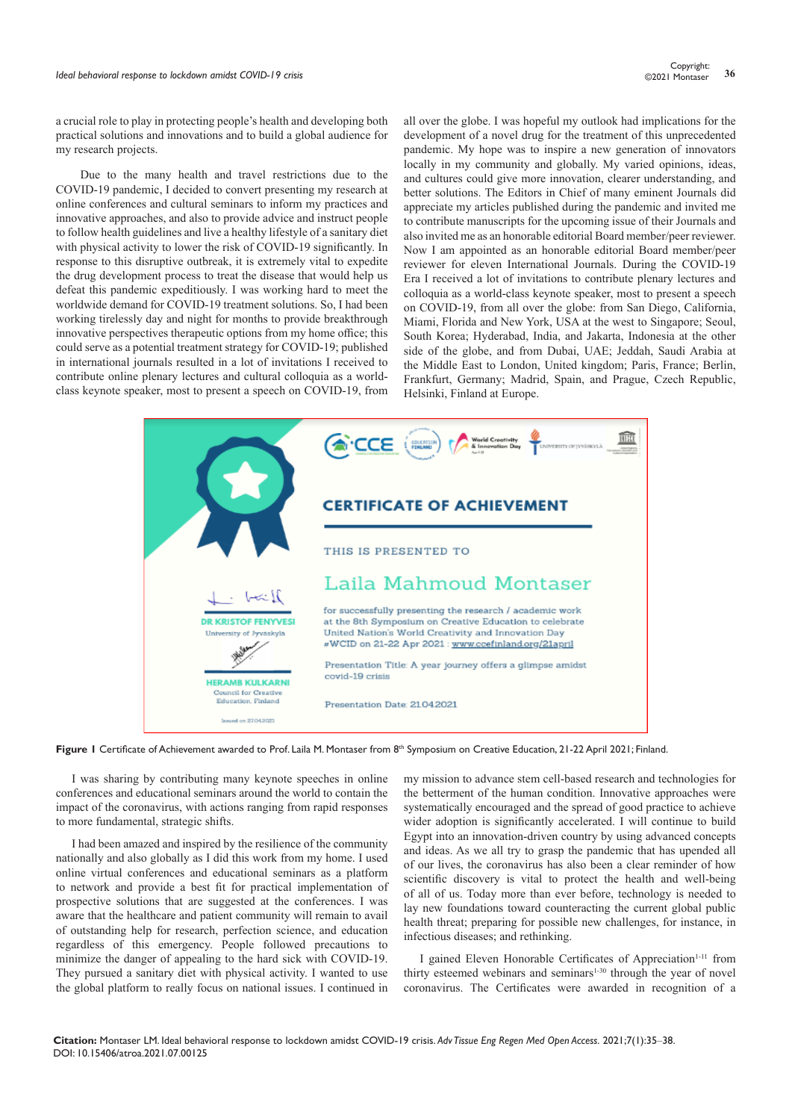a crucial role to play in protecting people's health and developing both practical solutions and innovations and to build a global audience for my research projects.

Due to the many health and travel restrictions due to the COVID-19 pandemic, I decided to convert presenting my research at online conferences and cultural seminars to inform my practices and innovative approaches, and also to provide advice and instruct people to follow health guidelines and live a healthy lifestyle of a sanitary diet with physical activity to lower the risk of COVID-19 significantly. In response to this disruptive outbreak, it is extremely vital to expedite the drug development process to treat the disease that would help us defeat this pandemic expeditiously. I was working hard to meet the worldwide demand for COVID-19 treatment solutions. So, I had been working tirelessly day and night for months to provide breakthrough innovative perspectives therapeutic options from my home office; this could serve as a potential treatment strategy for COVID-19; published in international journals resulted in a lot of invitations I received to contribute online plenary lectures and cultural colloquia as a worldclass keynote speaker, most to present a speech on COVID-19, from

all over the globe. I was hopeful my outlook had implications for the development of a novel drug for the treatment of this unprecedented pandemic. My hope was to inspire a new generation of innovators locally in my community and globally. My varied opinions, ideas, and cultures could give more innovation, clearer understanding, and better solutions. The Editors in Chief of many eminent Journals did appreciate my articles published during the pandemic and invited me to contribute manuscripts for the upcoming issue of their Journals and also invited me as an honorable editorial Board member/peer reviewer. Now I am appointed as an honorable editorial Board member/peer reviewer for eleven International Journals. During the COVID-19 Era I received a lot of invitations to contribute plenary lectures and colloquia as a world-class keynote speaker, most to present a speech on COVID-19, from all over the globe: from San Diego, California, Miami, Florida and New York, USA at the west to Singapore; Seoul, South Korea; Hyderabad, India, and Jakarta, Indonesia at the other side of the globe, and from Dubai, UAE; Jeddah, Saudi Arabia at the Middle East to London, United kingdom; Paris, France; Berlin, Frankfurt, Germany; Madrid, Spain, and Prague, Czech Republic, Helsinki, Finland at Europe.



Figure 1 Certificate of Achievement awarded to Prof. Laila M. Montaser from 8<sup>th</sup> Symposium on Creative Education, 21-22 April 2021; Finland.

I was sharing by contributing many keynote speeches in online conferences and educational seminars around the world to contain the impact of the coronavirus, with actions ranging from rapid responses to more fundamental, strategic shifts.

I had been amazed and inspired by the resilience of the community nationally and also globally as I did this work from my home. I used online virtual conferences and educational seminars as a platform to network and provide a best fit for practical implementation of prospective solutions that are suggested at the conferences. I was aware that the healthcare and patient community will remain to avail of outstanding help for research, perfection science, and education regardless of this emergency. People followed precautions to minimize the danger of appealing to the hard sick with COVID-19. They pursued a sanitary diet with physical activity. I wanted to use the global platform to really focus on national issues. I continued in my mission to advance stem cell-based research and technologies for the betterment of the human condition. Innovative approaches were systematically encouraged and the spread of good practice to achieve wider adoption is significantly accelerated. I will continue to build Egypt into an innovation-driven country by using advanced concepts and ideas. As we all try to grasp the pandemic that has upended all of our lives, the coronavirus has also been a clear reminder of how scientific discovery is vital to protect the health and well-being of all of us. Today more than ever before, technology is needed to lay new foundations toward counteracting the current global public health threat; preparing for possible new challenges, for instance, in infectious diseases; and rethinking.

I gained Eleven Honorable Certificates of Appreciation<sup>1-11</sup> from thirty esteemed webinars and seminars<sup>1-30</sup> through the year of novel coronavirus. The Certificates were awarded in recognition of a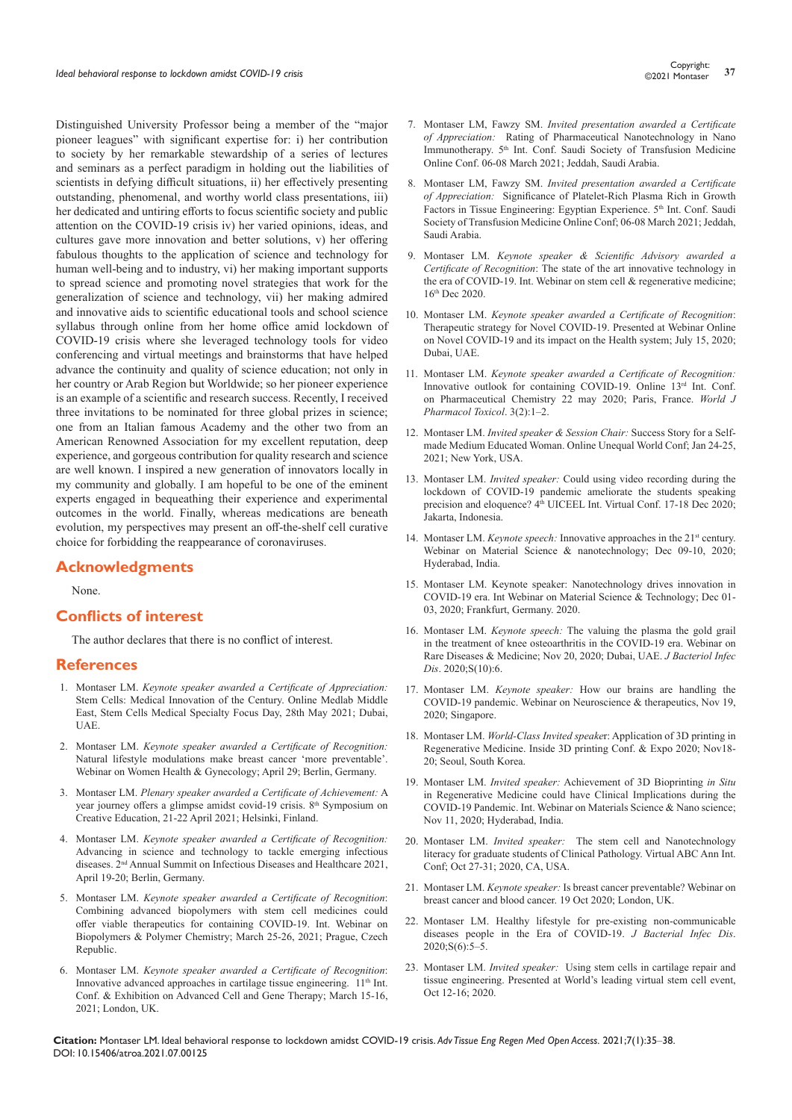Distinguished University Professor being a member of the "major pioneer leagues" with significant expertise for: i) her contribution to society by her remarkable stewardship of a series of lectures and seminars as a perfect paradigm in holding out the liabilities of scientists in defying difficult situations, ii) her effectively presenting outstanding, phenomenal, and worthy world class presentations, iii) her dedicated and untiring efforts to focus scientific society and public attention on the COVID-19 crisis iv) her varied opinions, ideas, and cultures gave more innovation and better solutions, v) her offering fabulous thoughts to the application of science and technology for human well-being and to industry, vi) her making important supports to spread science and promoting novel strategies that work for the generalization of science and technology, vii) her making admired and innovative aids to scientific educational tools and school science syllabus through online from her home office amid lockdown of COVID-19 crisis where she leveraged technology tools for video conferencing and virtual meetings and brainstorms that have helped advance the continuity and quality of science education; not only in her country or Arab Region but Worldwide; so her pioneer experience is an example of a scientific and research success. Recently, I received three invitations to be nominated for three global prizes in science; one from an Italian famous Academy and the other two from an American Renowned Association for my excellent reputation, deep experience, and gorgeous contribution for quality research and science are well known. I inspired a new generation of innovators locally in my community and globally. I am hopeful to be one of the eminent experts engaged in bequeathing their experience and experimental outcomes in the world. Finally, whereas medications are beneath evolution, my perspectives may present an off-the-shelf cell curative choice for forbidding the reappearance of coronaviruses.

## **Acknowledgments**

None.

### **Conflicts of interest**

The author declares that there is no conflict of interest.

## **References**

- 1. Montaser LM. *Keynote speaker awarded a Certificate of Appreciation:* Stem Cells: Medical Innovation of the Century. Online Medlab Middle East, Stem Cells Medical Specialty Focus Day, 28th May 2021; Dubai, UAE.
- 2. Montaser LM. *Keynote speaker awarded a Certificate of Recognition:* Natural lifestyle modulations make breast cancer 'more preventable'. Webinar on Women Health & Gynecology; April 29; Berlin, Germany.
- 3. Montaser LM. *Plenary speaker awarded a Certificate of Achievement:* A year journey offers a glimpse amidst covid-19 crisis. 8<sup>th</sup> Symposium on Creative Education, 21-22 April 2021; Helsinki, Finland.
- 4. Montaser LM. *Keynote speaker awarded a Certificate of Recognition:* Advancing in science and technology to tackle emerging infectious diseases. 2nd Annual Summit on Infectious Diseases and Healthcare 2021, April 19-20; Berlin, Germany.
- 5. Montaser LM. *Keynote speaker awarded a Certificate of Recognition*: Combining advanced biopolymers with stem cell medicines could offer viable therapeutics for containing COVID-19. Int. Webinar on Biopolymers & Polymer Chemistry; March 25-26, 2021; Prague, Czech Republic.
- 6. Montaser LM. *Keynote speaker awarded a Certificate of Recognition*: Innovative advanced approaches in cartilage tissue engineering. 11<sup>th</sup> Int. Conf. & Exhibition on Advanced Cell and Gene Therapy; March 15-16, 2021; London, UK.
- 7. Montaser LM, Fawzy SM. *Invited presentation awarded a Certificate of Appreciation:* Rating of Pharmaceutical Nanotechnology in Nano Immunotherapy. 5<sup>th</sup> Int. Conf. Saudi Society of Transfusion Medicine Online Conf. 06-08 March 2021; Jeddah, Saudi Arabia.
- 8. Montaser LM, Fawzy SM. *Invited presentation awarded a Certificate of Appreciation:* Significance of Platelet-Rich Plasma Rich in Growth Factors in Tissue Engineering: Egyptian Experience. 5<sup>th</sup> Int. Conf. Saudi Society of Transfusion Medicine Online Conf; 06-08 March 2021; Jeddah, Saudi Arabia.
- 9. Montaser LM. *Keynote speaker & Scientific Advisory awarded a Certificate of Recognition*: The state of the art innovative technology in the era of COVID-19. Int. Webinar on stem cell & regenerative medicine; 16th Dec 2020.
- 10. Montaser LM. *Keynote speaker awarded a Certificate of Recognition*: Therapeutic strategy for Novel COVID-19. Presented at Webinar Online on Novel COVID-19 and its impact on the Health system; July 15, 2020; Dubai, UAE.
- 11. Montaser LM. *Keynote speaker awarded a Certificate of Recognition:* Innovative outlook for containing COVID-19. Online 13rd Int. Conf. on Pharmaceutical Chemistry 22 may 2020; Paris, France. *World J Pharmacol Toxicol*. 3(2):1–2.
- 12. Montaser LM. *Invited speaker & Session Chair:* Success Story for a Selfmade Medium Educated Woman. Online Unequal World Conf; Jan 24-25, 2021; New York, USA.
- 13. Montaser LM. *Invited speaker:* Could using video recording during the lockdown of COVID-19 pandemic ameliorate the students speaking precision and eloquence?  $4^{\text{th}}$  UICEEL Int. Virtual Conf. 17-18 Dec 2020; Jakarta, Indonesia.
- 14. Montaser LM. *Keynote speech:* Innovative approaches in the 21<sup>st</sup> century. Webinar on Material Science & nanotechnology; Dec 09-10, 2020; Hyderabad, India.
- 15. [Montaser LM. Keynote speaker: Nanotechnology drives innovation in](https://www.conferencemind.com/conference/materialscienceandtechnology/agenda)  [COVID-19 era. Int Webinar on Material Science & Technology; Dec 01-](https://www.conferencemind.com/conference/materialscienceandtechnology/agenda) [03, 2020; Frankfurt, Germany. 2020.](https://www.conferencemind.com/conference/materialscienceandtechnology/agenda)
- 16. Montaser LM. *Keynote speech:* The valuing the plasma the gold grail in the treatment of knee osteoarthritis in the COVID-19 era. Webinar on Rare Diseases & Medicine; Nov 20, 2020; Dubai, UAE. *J Bacteriol Infec Dis*. 2020;S(10):6.
- 17. Montaser LM. *Keynote speaker:* How our brains are handling the COVID-19 pandemic. Webinar on Neuroscience & therapeutics, Nov 19, 2020; Singapore.
- 18. Montaser LM. *World-Class Invited speake*r: Application of 3D printing in Regenerative Medicine. Inside 3D printing Conf. & Expo 2020; Nov18- 20; Seoul, South Korea.
- 19. Montaser LM. *Invited speaker:* Achievement of 3D Bioprinting *in Situ* in Regenerative Medicine could have Clinical Implications during the COVID-19 Pandemic. Int. Webinar on Materials Science & Nano science; Nov 11, 2020; Hyderabad, India.
- 20. Montaser LM. *Invited speaker:* The stem cell and Nanotechnology literacy for graduate students of Clinical Pathology. Virtual ABC Ann Int. Conf; Oct 27-31; 2020, CA, USA.
- 21. Montaser LM. *Keynote speaker:* Is breast cancer preventable? Webinar on breast cancer and blood cancer. 19 Oct 2020; London, UK.
- 22. [Montaser LM. Healthy lifestyle for pre-existing non-communicable](https://www.alliedacademies.org/articles/healthy-lifestyle-for-preexisting-noncommunicable-diseases-people-in-the-era-of-covid19.pdf)  [diseases people in the Era of COVID-19.](https://www.alliedacademies.org/articles/healthy-lifestyle-for-preexisting-noncommunicable-diseases-people-in-the-era-of-covid19.pdf) *J Bacterial Infec Dis*. [2020;S\(6\):5–5.](https://www.alliedacademies.org/articles/healthy-lifestyle-for-preexisting-noncommunicable-diseases-people-in-the-era-of-covid19.pdf)
- 23. Montaser LM. *Invited speaker:* Using stem cells in cartilage repair and tissue engineering. Presented at World's leading virtual stem cell event, Oct 12-16; 2020.

**Citation:** Montaser LM. Ideal behavioral response to lockdown amidst COVID-19 crisis. *Adv Tissue Eng Regen Med Open Access.* 2021;7(1):35‒38. DOI: [10.15406/atroa.2021.07.00125](https://doi.org/10.15406/atroa.2021.07.00125)